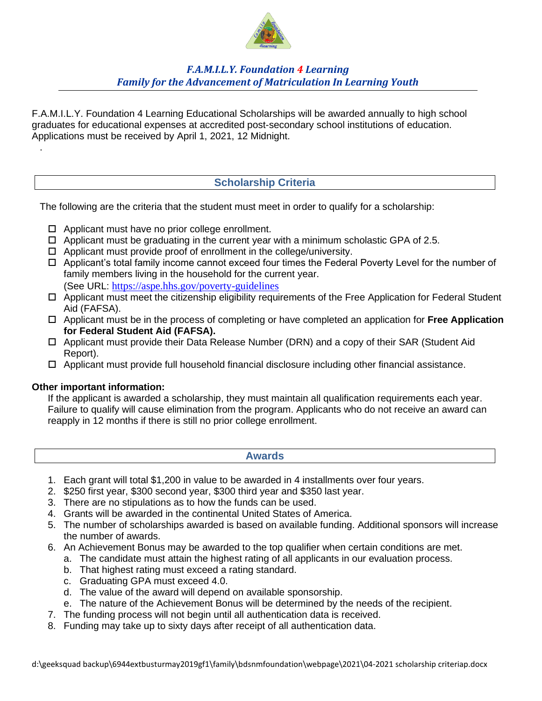

# *F.A.M.I.L.Y. Foundation 4 Learning Family for the Advancement of Matriculation In Learning Youth*

F.A.M.I.L.Y. Foundation 4 Learning Educational Scholarships will be awarded annually to high school graduates for educational expenses at accredited post-secondary school institutions of education. Applications must be received by April 1, 2021, 12 Midnight.

# **Scholarship Criteria**

The following are the criteria that the student must meet in order to qualify for a scholarship:

- $\Box$  Applicant must have no prior college enrollment.
- $\Box$  Applicant must be graduating in the current year with a minimum scholastic GPA of 2.5.
- $\Box$  Applicant must provide proof of enrollment in the college/university.
- Applicant's total family income cannot exceed four times the Federal Poverty Level for the number of family members living in the household for the current year. (See URL: https://aspe.hhs.gov/poverty-guidelines
- Applicant must meet the citizenship eligibility requirements of the Free Application for Federal Student Aid (FAFSA).
- Applicant must be in the process of completing or have completed an application for **Free Application for Federal Student Aid (FAFSA).**
- □ Applicant must provide their Data Release Number (DRN) and a copy of their SAR (Student Aid Report).
- $\Box$  Applicant must provide full household financial disclosure including other financial assistance.

#### **Other important information:**

.

If the applicant is awarded a scholarship, they must maintain all qualification requirements each year. Failure to qualify will cause elimination from the program. Applicants who do not receive an award can reapply in 12 months if there is still no prior college enrollment.

**Awards**

- 1. Each grant will total \$1,200 in value to be awarded in 4 installments over four years.
- 2. \$250 first year, \$300 second year, \$300 third year and \$350 last year.
- 3. There are no stipulations as to how the funds can be used.
- 4. Grants will be awarded in the continental United States of America.
- 5. The number of scholarships awarded is based on available funding. Additional sponsors will increase the number of awards.
- 6. An Achievement Bonus may be awarded to the top qualifier when certain conditions are met.
	- a. The candidate must attain the highest rating of all applicants in our evaluation process.
	- b. That highest rating must exceed a rating standard.
	- c. Graduating GPA must exceed 4.0.
	- d. The value of the award will depend on available sponsorship.
	- e. The nature of the Achievement Bonus will be determined by the needs of the recipient.
- 7. The funding process will not begin until all authentication data is received.
- 8. Funding may take up to sixty days after receipt of all authentication data.